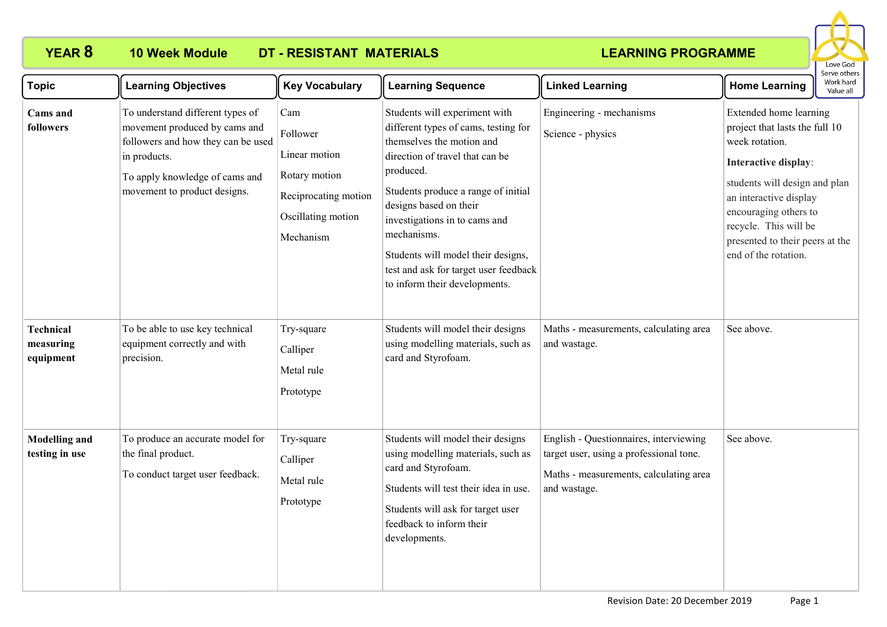# **YEAR 8 10 Week Module DT - RESISTANT MATERIALS**

## **LEARNING PROGRAMME**



| <b>Topic</b>                               | <b>Learning Objectives</b>                                                                                                                                                                | <b>Key Vocabulary</b>                                                                                        | <b>Learning Sequence</b>                                                                                                                                                                                                                                                                                                                                                            | <b>Linked Learning</b>                                                                                                                      | <b>Home Learning</b>                                                                                                                                                                                                                                                       | יוסיות של הייד<br>Work hard<br>Value all |
|--------------------------------------------|-------------------------------------------------------------------------------------------------------------------------------------------------------------------------------------------|--------------------------------------------------------------------------------------------------------------|-------------------------------------------------------------------------------------------------------------------------------------------------------------------------------------------------------------------------------------------------------------------------------------------------------------------------------------------------------------------------------------|---------------------------------------------------------------------------------------------------------------------------------------------|----------------------------------------------------------------------------------------------------------------------------------------------------------------------------------------------------------------------------------------------------------------------------|------------------------------------------|
| Cams and<br>followers                      | To understand different types of<br>movement produced by cams and<br>followers and how they can be used<br>in products.<br>To apply knowledge of cams and<br>movement to product designs. | Cam<br>Follower<br>Linear motion<br>Rotary motion<br>Reciprocating motion<br>Oscillating motion<br>Mechanism | Students will experiment with<br>different types of cams, testing for<br>themselves the motion and<br>direction of travel that can be<br>produced.<br>Students produce a range of initial<br>designs based on their<br>investigations in to cams and<br>mechanisms.<br>Students will model their designs,<br>test and ask for target user feedback<br>to inform their developments. | Engineering - mechanisms<br>Science - physics                                                                                               | Extended home learning<br>project that lasts the full 10<br>week rotation.<br>Interactive display:<br>students will design and plan<br>an interactive display<br>encouraging others to<br>recycle. This will be<br>presented to their peers at the<br>end of the rotation. |                                          |
| <b>Technical</b><br>measuring<br>equipment | To be able to use key technical<br>equipment correctly and with<br>precision.                                                                                                             | Try-square<br>Calliper<br>Metal rule<br>Prototype                                                            | Students will model their designs<br>using modelling materials, such as<br>card and Styrofoam.                                                                                                                                                                                                                                                                                      | Maths - measurements, calculating area<br>and wastage.                                                                                      | See above.                                                                                                                                                                                                                                                                 |                                          |
| <b>Modelling and</b><br>testing in use     | To produce an accurate model for<br>the final product.<br>To conduct target user feedback.                                                                                                | Try-square<br>Calliper<br>Metal rule<br>Prototype                                                            | Students will model their designs<br>using modelling materials, such as<br>card and Styrofoam.<br>Students will test their idea in use.<br>Students will ask for target user<br>feedback to inform their<br>developments.                                                                                                                                                           | English - Questionnaires, interviewing<br>target user, using a professional tone.<br>Maths - measurements, calculating area<br>and wastage. | See above.                                                                                                                                                                                                                                                                 |                                          |